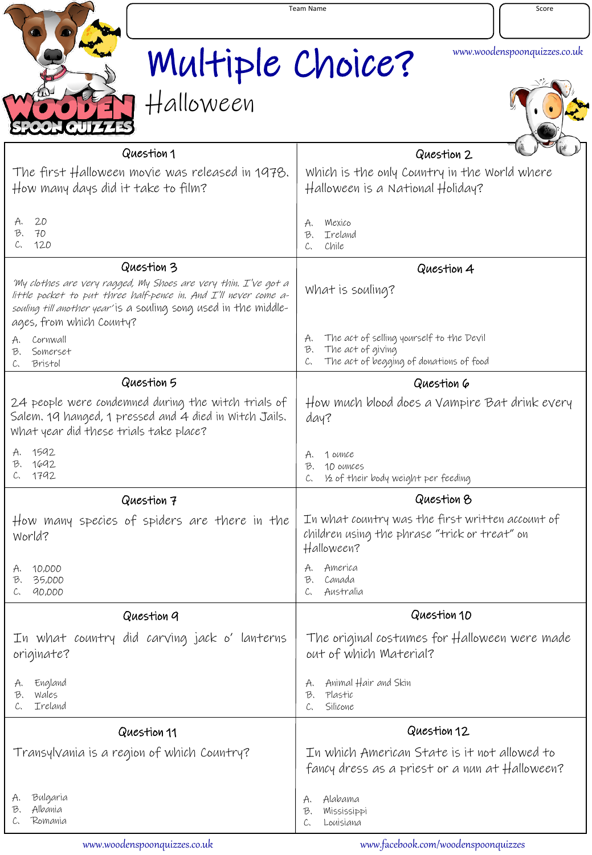|                                                                                                                                                                                                                                     | <b>Team Name</b><br>Score |                                                                                                                            |
|-------------------------------------------------------------------------------------------------------------------------------------------------------------------------------------------------------------------------------------|---------------------------|----------------------------------------------------------------------------------------------------------------------------|
|                                                                                                                                                                                                                                     | Multiple Choice?          | www.woodenspoonquizzes.co.uk                                                                                               |
|                                                                                                                                                                                                                                     | Halloween                 |                                                                                                                            |
|                                                                                                                                                                                                                                     | Question 1                | Question 2                                                                                                                 |
| The first Halloween movie was released in 1978.<br>How many days did it take to film?                                                                                                                                               |                           | Which is the only Country in the World where<br>Halloween is a National Holiday?                                           |
| 20<br>A.<br>B,<br>70<br>120<br>C.                                                                                                                                                                                                   |                           | Mexico<br>A.<br>Ireland<br>B.<br>Chile<br>C.                                                                               |
| Question 3                                                                                                                                                                                                                          |                           | Question 4                                                                                                                 |
| 'My clothes are very ragged, My Shoes are very thin. I've got a<br>little pocket to put three half-pence in. And I'll never come a-<br>souling till another year' is a souling song used in the middle-<br>ages, from which County? |                           | What is souling?                                                                                                           |
| Cornwall<br>A.<br>Somerset<br>B.<br>Bristol<br>C.                                                                                                                                                                                   |                           | The act of selling yourself to the Devil<br>A.<br>The act of giving<br>B.<br>The act of begging of donations of food<br>C. |
|                                                                                                                                                                                                                                     | Question 5                | Question 6                                                                                                                 |
| 24 people were condemned during the witch trials of<br>Salem. 19 hanged, 1 pressed and 4 died in Witch Jails.<br>What year did these trials take place?                                                                             |                           | How much blood does a Vampire Bat drink every<br>day?                                                                      |
| 1592<br>1692<br>B.<br>1792<br>C.                                                                                                                                                                                                    |                           | 1 ounce<br>A.<br>10 OUNCES<br>B.<br>1/2 of their body weight per feeding<br>C.                                             |
|                                                                                                                                                                                                                                     | Question 7                | Question 8                                                                                                                 |
| How many species of spiders are there in the<br>World?                                                                                                                                                                              |                           | In what country was the first written account of<br>children using the phrase "trick or treat" on<br>Halloween?            |
| 10,000<br>A.<br>35,000<br>B,<br>90,000<br>C.                                                                                                                                                                                        |                           | America<br>А.<br>Canada<br>B.<br>Australia<br>C.                                                                           |
| Question 9                                                                                                                                                                                                                          |                           | Question 10                                                                                                                |
| In what country did carving jack o' lanterns<br>originate?                                                                                                                                                                          |                           | The original costumes for Halloween were made<br>out of which Material?                                                    |
| England<br>А,<br>Wales<br>B,<br>Ireland<br>C.                                                                                                                                                                                       |                           | Animal Hair and Skin<br>A.<br>B,<br>Plastic<br>Silicone<br>C.                                                              |
| Question 11                                                                                                                                                                                                                         |                           | Question 12                                                                                                                |
| Transylvania is a region of which Country?                                                                                                                                                                                          |                           | In which American State is it not allowed to<br>fancy dress as a priest or a nun at Halloween?                             |
| Bulgaria<br>А,<br>Albania<br>B.<br>Romania                                                                                                                                                                                          |                           | Alabama<br>А.<br>Mississippi<br>B,<br>Louisiana                                                                            |